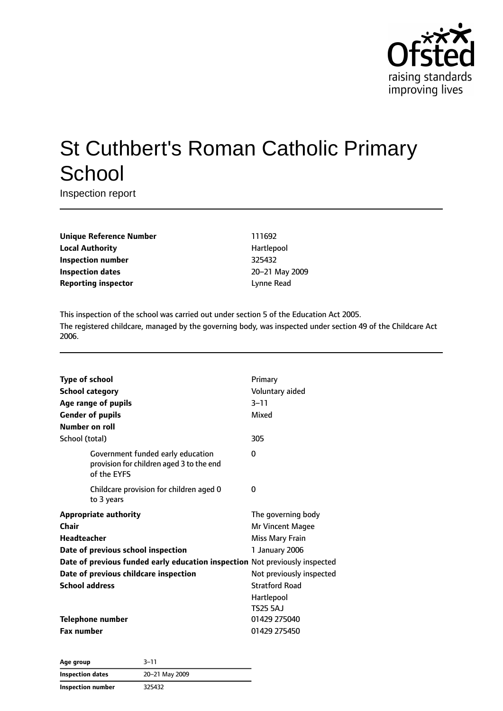

# St Cuthbert's Roman Catholic Primary **School**

Inspection report

**Unique Reference Number** 111692 **Local Authority Hartlepool Inspection number** 325432 **Inspection dates** 20–21 May 2009 **Reporting inspector CONFIDENTIAL EXECUTES** Lynne Read

This inspection of the school was carried out under section 5 of the Education Act 2005. The registered childcare, managed by the governing body, was inspected under section 49 of the Childcare Act 2006.

| <b>Type of school</b><br><b>School category</b><br>Age range of pupils<br><b>Gender of pupils</b><br>Number on roll                                                                                                                                | Primary<br>Voluntary aided<br>$3 - 11$<br>Mixed                                                                                                                          |
|----------------------------------------------------------------------------------------------------------------------------------------------------------------------------------------------------------------------------------------------------|--------------------------------------------------------------------------------------------------------------------------------------------------------------------------|
| School (total)                                                                                                                                                                                                                                     | 305                                                                                                                                                                      |
| Government funded early education<br>provision for children aged 3 to the end<br>of the EYFS                                                                                                                                                       | 0                                                                                                                                                                        |
| Childcare provision for children aged 0<br>to 3 years                                                                                                                                                                                              | 0                                                                                                                                                                        |
| <b>Appropriate authority</b><br>Chair<br><b>Headteacher</b><br>Date of previous school inspection<br>Date of previous funded early education inspection Not previously inspected<br>Date of previous childcare inspection<br><b>School address</b> | The governing body<br>Mr Vincent Magee<br><b>Miss Mary Frain</b><br>1 January 2006<br>Not previously inspected<br><b>Stratford Road</b><br>Hartlepool<br><b>TS25 5AJ</b> |
| <b>Telephone number</b><br><b>Fax number</b>                                                                                                                                                                                                       | 01429 275040<br>01429 275450                                                                                                                                             |

**Age group** 3–11 **Inspection dates** 20–21 May 2009 **Inspection number** 325432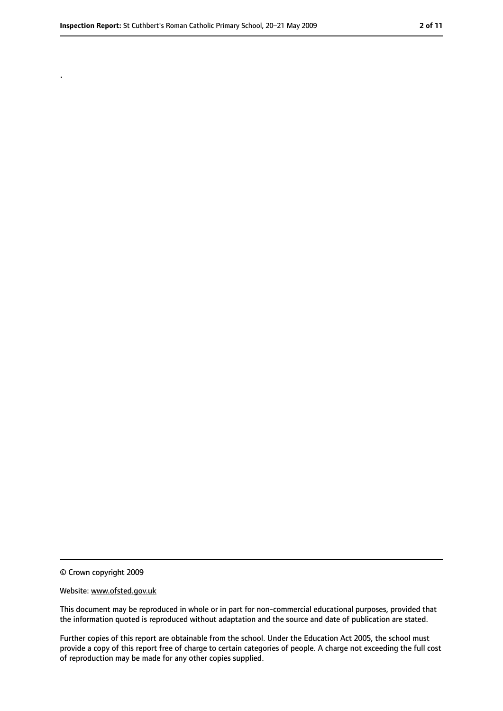.

<sup>©</sup> Crown copyright 2009

Website: www.ofsted.gov.uk

This document may be reproduced in whole or in part for non-commercial educational purposes, provided that the information quoted is reproduced without adaptation and the source and date of publication are stated.

Further copies of this report are obtainable from the school. Under the Education Act 2005, the school must provide a copy of this report free of charge to certain categories of people. A charge not exceeding the full cost of reproduction may be made for any other copies supplied.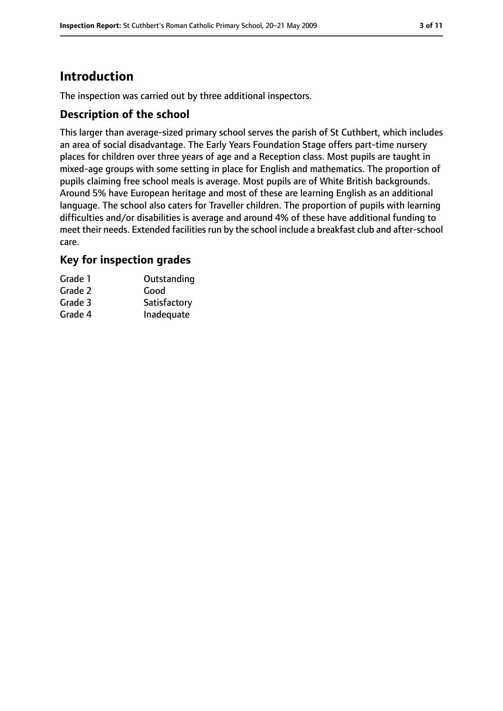# **Introduction**

The inspection was carried out by three additional inspectors.

#### **Description of the school**

This larger than average-sized primary school serves the parish of St Cuthbert, which includes an area of social disadvantage. The Early Years Foundation Stage offers part-time nursery places for children over three years of age and a Reception class. Most pupils are taught in mixed-age groups with some setting in place for English and mathematics. The proportion of pupils claiming free school meals is average. Most pupils are of White British backgrounds. Around 5% have European heritage and most of these are learning English as an additional language. The school also caters for Traveller children. The proportion of pupils with learning difficulties and/or disabilities is average and around 4% of these have additional funding to meet their needs. Extended facilities run by the school include a breakfast club and after-school care.

#### **Key for inspection grades**

| Grade 1 | Outstanding  |
|---------|--------------|
| Grade 2 | Good         |
| Grade 3 | Satisfactory |
| Grade 4 | Inadequate   |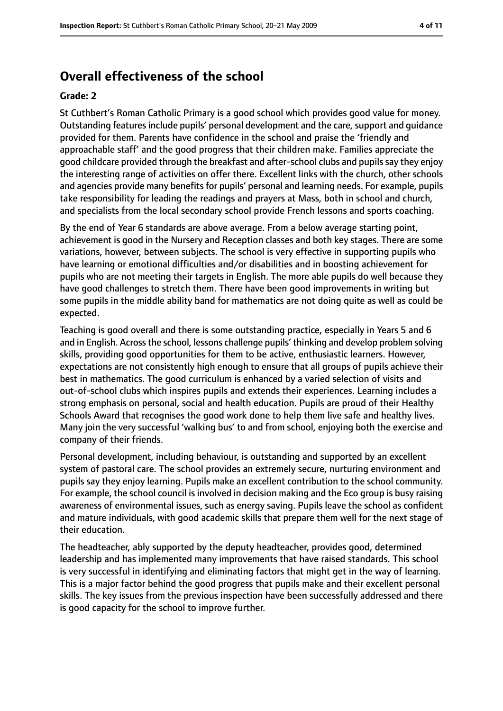## **Overall effectiveness of the school**

#### **Grade: 2**

St Cuthbert's Roman Catholic Primary is a good school which provides good value for money. Outstanding features include pupils' personal development and the care, support and guidance provided for them. Parents have confidence in the school and praise the 'friendly and approachable staff' and the good progress that their children make. Families appreciate the good childcare provided through the breakfast and after-school clubs and pupilssay they enjoy the interesting range of activities on offer there. Excellent links with the church, other schools and agencies provide many benefits for pupils' personal and learning needs. For example, pupils take responsibility for leading the readings and prayers at Mass, both in school and church, and specialists from the local secondary school provide French lessons and sports coaching.

By the end of Year 6 standards are above average. From a below average starting point, achievement is good in the Nursery and Reception classes and both key stages. There are some variations, however, between subjects. The school is very effective in supporting pupils who have learning or emotional difficulties and/or disabilities and in boosting achievement for pupils who are not meeting their targets in English. The more able pupils do well because they have good challenges to stretch them. There have been good improvements in writing but some pupils in the middle ability band for mathematics are not doing quite as well as could be expected.

Teaching is good overall and there is some outstanding practice, especially in Years 5 and 6 and in English. Across the school, lessons challenge pupils' thinking and develop problem solving skills, providing good opportunities for them to be active, enthusiastic learners. However, expectations are not consistently high enough to ensure that all groups of pupils achieve their best in mathematics. The good curriculum is enhanced by a varied selection of visits and out-of-school clubs which inspires pupils and extends their experiences. Learning includes a strong emphasis on personal, social and health education. Pupils are proud of their Healthy Schools Award that recognises the good work done to help them live safe and healthy lives. Many join the very successful 'walking bus' to and from school, enjoying both the exercise and company of their friends.

Personal development, including behaviour, is outstanding and supported by an excellent system of pastoral care. The school provides an extremely secure, nurturing environment and pupils say they enjoy learning. Pupils make an excellent contribution to the school community. For example, the school council is involved in decision making and the Eco group is busy raising awareness of environmental issues, such as energy saving. Pupils leave the school as confident and mature individuals, with good academic skills that prepare them well for the next stage of their education.

The headteacher, ably supported by the deputy headteacher, provides good, determined leadership and has implemented many improvements that have raised standards. This school is very successful in identifying and eliminating factors that might get in the way of learning. This is a major factor behind the good progress that pupils make and their excellent personal skills. The key issues from the previous inspection have been successfully addressed and there is good capacity for the school to improve further.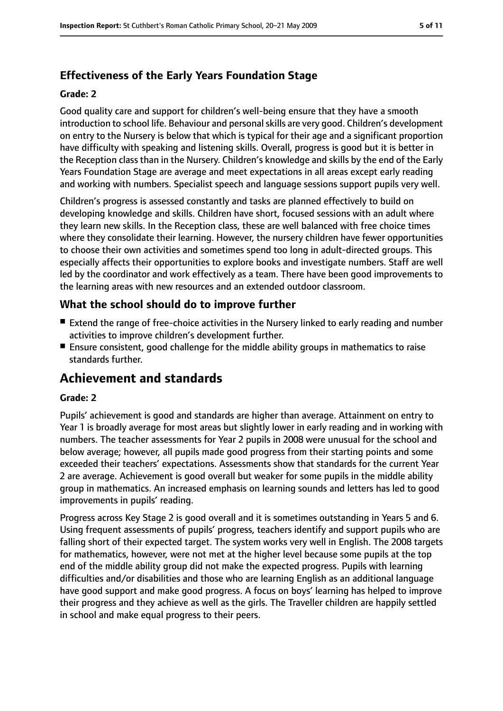# **Effectiveness of the Early Years Foundation Stage**

#### **Grade: 2**

Good quality care and support for children's well-being ensure that they have a smooth introduction to school life. Behaviour and personal skills are very good. Children's development on entry to the Nursery is below that which is typical for their age and a significant proportion have difficulty with speaking and listening skills. Overall, progress is good but it is better in the Reception class than in the Nursery. Children's knowledge and skills by the end of the Early Years Foundation Stage are average and meet expectations in all areas except early reading and working with numbers. Specialist speech and language sessions support pupils very well.

Children's progress is assessed constantly and tasks are planned effectively to build on developing knowledge and skills. Children have short, focused sessions with an adult where they learn new skills. In the Reception class, these are well balanced with free choice times where they consolidate their learning. However, the nursery children have fewer opportunities to choose their own activities and sometimes spend too long in adult-directed groups. This especially affects their opportunities to explore books and investigate numbers. Staff are well led by the coordinator and work effectively as a team. There have been good improvements to the learning areas with new resources and an extended outdoor classroom.

## **What the school should do to improve further**

- Extend the range of free-choice activities in the Nursery linked to early reading and number activities to improve children's development further.
- Ensure consistent, good challenge for the middle ability groups in mathematics to raise standards further.

# **Achievement and standards**

#### **Grade: 2**

Pupils' achievement is good and standards are higher than average. Attainment on entry to Year 1 is broadly average for most areas but slightly lower in early reading and in working with numbers. The teacher assessments for Year 2 pupils in 2008 were unusual for the school and below average; however, all pupils made good progress from their starting points and some exceeded their teachers' expectations. Assessments show that standards for the current Year 2 are average. Achievement is good overall but weaker for some pupils in the middle ability group in mathematics. An increased emphasis on learning sounds and letters has led to good improvements in pupils' reading.

Progress across Key Stage 2 is good overall and it is sometimes outstanding in Years 5 and 6. Using frequent assessments of pupils' progress, teachers identify and support pupils who are falling short of their expected target. The system works very well in English. The 2008 targets for mathematics, however, were not met at the higher level because some pupils at the top end of the middle ability group did not make the expected progress. Pupils with learning difficulties and/or disabilities and those who are learning English as an additional language have good support and make good progress. A focus on boys' learning has helped to improve their progress and they achieve as well as the girls. The Traveller children are happily settled in school and make equal progress to their peers.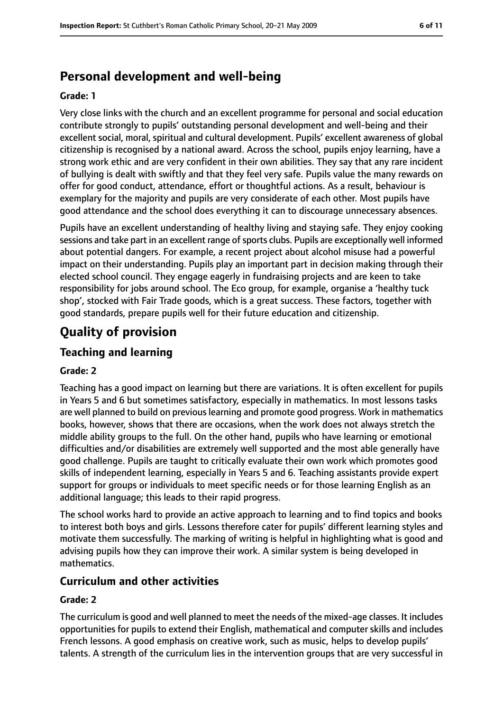# **Personal development and well-being**

#### **Grade: 1**

Very close links with the church and an excellent programme for personal and social education contribute strongly to pupils' outstanding personal development and well-being and their excellent social, moral, spiritual and cultural development. Pupils' excellent awareness of global citizenship is recognised by a national award. Across the school, pupils enjoy learning, have a strong work ethic and are very confident in their own abilities. They say that any rare incident of bullying is dealt with swiftly and that they feel very safe. Pupils value the many rewards on offer for good conduct, attendance, effort or thoughtful actions. As a result, behaviour is exemplary for the majority and pupils are very considerate of each other. Most pupils have good attendance and the school does everything it can to discourage unnecessary absences.

Pupils have an excellent understanding of healthy living and staying safe. They enjoy cooking sessions and take part in an excellent range of sports clubs. Pupils are exceptionally well informed about potential dangers. For example, a recent project about alcohol misuse had a powerful impact on their understanding. Pupils play an important part in decision making through their elected school council. They engage eagerly in fundraising projects and are keen to take responsibility for jobs around school. The Eco group, for example, organise a 'healthy tuck shop', stocked with Fair Trade goods, which is a great success. These factors, together with good standards, prepare pupils well for their future education and citizenship.

# **Quality of provision**

## **Teaching and learning**

#### **Grade: 2**

Teaching has a good impact on learning but there are variations. It is often excellent for pupils in Years 5 and 6 but sometimes satisfactory, especially in mathematics. In most lessons tasks are well planned to build on previous learning and promote good progress. Work in mathematics books, however, shows that there are occasions, when the work does not always stretch the middle ability groups to the full. On the other hand, pupils who have learning or emotional difficulties and/or disabilities are extremely well supported and the most able generally have good challenge. Pupils are taught to critically evaluate their own work which promotes good skills of independent learning, especially in Years 5 and 6. Teaching assistants provide expert support for groups or individuals to meet specific needs or for those learning English as an additional language; this leads to their rapid progress.

The school works hard to provide an active approach to learning and to find topics and books to interest both boys and girls. Lessons therefore cater for pupils' different learning styles and motivate them successfully. The marking of writing is helpful in highlighting what is good and advising pupils how they can improve their work. A similar system is being developed in mathematics.

#### **Curriculum and other activities**

#### **Grade: 2**

The curriculum is good and well planned to meet the needs of the mixed-age classes. It includes opportunities for pupils to extend their English, mathematical and computer skills and includes French lessons. A good emphasis on creative work, such as music, helps to develop pupils' talents. A strength of the curriculum lies in the intervention groups that are very successful in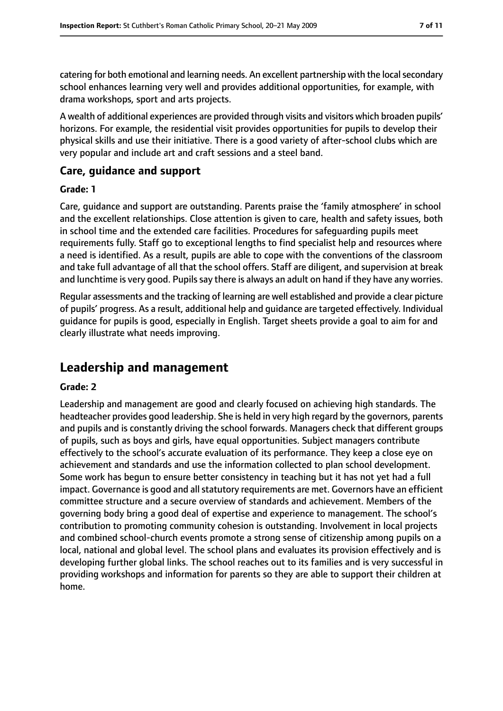catering for both emotional and learning needs. An excellent partnership with the local secondary school enhances learning very well and provides additional opportunities, for example, with drama workshops, sport and arts projects.

A wealth of additional experiences are provided through visits and visitors which broaden pupils' horizons. For example, the residential visit provides opportunities for pupils to develop their physical skills and use their initiative. There is a good variety of after-school clubs which are very popular and include art and craft sessions and a steel band.

### **Care, guidance and support**

#### **Grade: 1**

Care, guidance and support are outstanding. Parents praise the 'family atmosphere' in school and the excellent relationships. Close attention is given to care, health and safety issues, both in school time and the extended care facilities. Procedures for safeguarding pupils meet requirements fully. Staff go to exceptional lengths to find specialist help and resources where a need is identified. As a result, pupils are able to cope with the conventions of the classroom and take full advantage of all that the school offers. Staff are diligent, and supervision at break and lunchtime is very good. Pupils say there is always an adult on hand if they have any worries.

Regular assessments and the tracking of learning are well established and provide a clear picture of pupils' progress. As a result, additional help and guidance are targeted effectively. Individual guidance for pupils is good, especially in English. Target sheets provide a goal to aim for and clearly illustrate what needs improving.

# **Leadership and management**

#### **Grade: 2**

Leadership and management are good and clearly focused on achieving high standards. The headteacher provides good leadership. She is held in very high regard by the governors, parents and pupils and is constantly driving the school forwards. Managers check that different groups of pupils, such as boys and girls, have equal opportunities. Subject managers contribute effectively to the school's accurate evaluation of its performance. They keep a close eye on achievement and standards and use the information collected to plan school development. Some work has begun to ensure better consistency in teaching but it has not yet had a full impact. Governance is good and all statutory requirements are met. Governors have an efficient committee structure and a secure overview of standards and achievement. Members of the governing body bring a good deal of expertise and experience to management. The school's contribution to promoting community cohesion is outstanding. Involvement in local projects and combined school-church events promote a strong sense of citizenship among pupils on a local, national and global level. The school plans and evaluates its provision effectively and is developing further global links. The school reaches out to its families and is very successful in providing workshops and information for parents so they are able to support their children at home.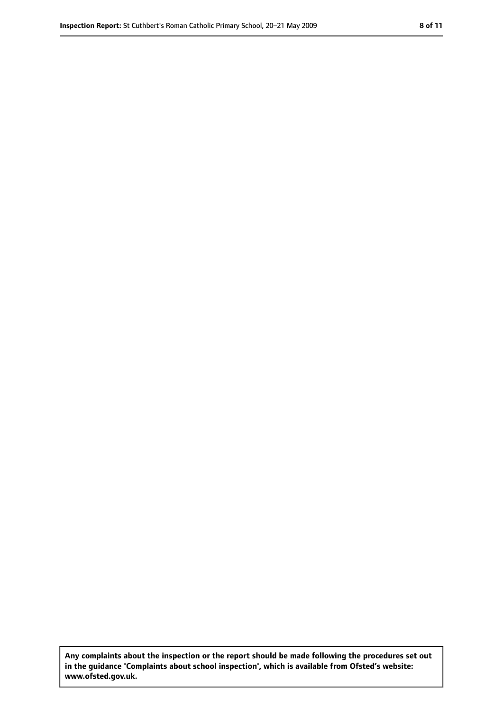**Any complaints about the inspection or the report should be made following the procedures set out in the guidance 'Complaints about school inspection', which is available from Ofsted's website: www.ofsted.gov.uk.**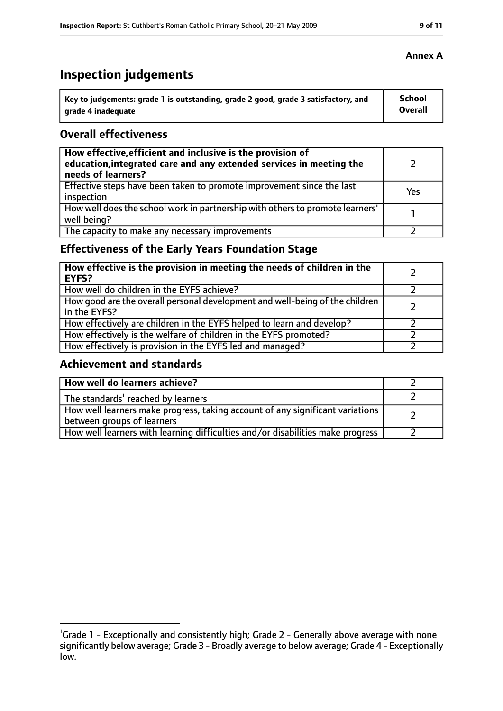# **Inspection judgements**

| Key to judgements: grade 1 is outstanding, grade 2 good, grade 3 satisfactory, and | <b>School</b>  |
|------------------------------------------------------------------------------------|----------------|
| arade 4 inadequate                                                                 | <b>Overall</b> |

## **Overall effectiveness**

| How effective, efficient and inclusive is the provision of<br>education, integrated care and any extended services in meeting the<br>needs of learners? |     |
|---------------------------------------------------------------------------------------------------------------------------------------------------------|-----|
| Effective steps have been taken to promote improvement since the last<br>inspection                                                                     | Yes |
| How well does the school work in partnership with others to promote learners'<br>well being?                                                            |     |
| The capacity to make any necessary improvements                                                                                                         |     |

# **Effectiveness of the Early Years Foundation Stage**

| How effective is the provision in meeting the needs of children in the<br><b>EYFS?</b>       |  |
|----------------------------------------------------------------------------------------------|--|
| How well do children in the EYFS achieve?                                                    |  |
| How good are the overall personal development and well-being of the children<br>in the EYFS? |  |
| How effectively are children in the EYFS helped to learn and develop?                        |  |
| How effectively is the welfare of children in the EYFS promoted?                             |  |
| How effectively is provision in the EYFS led and managed?                                    |  |

## **Achievement and standards**

| How well do learners achieve?                                                                               |  |
|-------------------------------------------------------------------------------------------------------------|--|
| The standards <sup>1</sup> reached by learners                                                              |  |
| How well learners make progress, taking account of any significant variations<br>between groups of learners |  |
| How well learners with learning difficulties and/or disabilities make progress                              |  |

#### **Annex A**

<sup>&</sup>lt;sup>1</sup>Grade 1 - Exceptionally and consistently high; Grade 2 - Generally above average with none significantly below average; Grade 3 - Broadly average to below average; Grade 4 - Exceptionally low.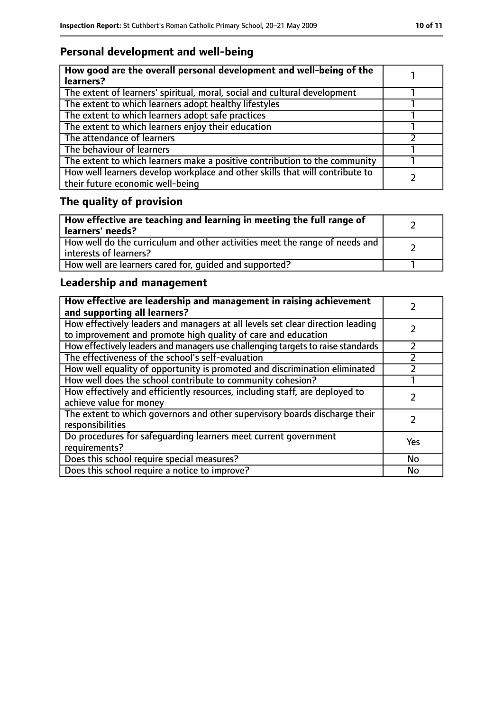# **Personal development and well-being**

| How good are the overall personal development and well-being of the<br>learners?                                 |  |
|------------------------------------------------------------------------------------------------------------------|--|
| The extent of learners' spiritual, moral, social and cultural development                                        |  |
| The extent to which learners adopt healthy lifestyles                                                            |  |
| The extent to which learners adopt safe practices                                                                |  |
| The extent to which learners enjoy their education                                                               |  |
| The attendance of learners                                                                                       |  |
| The behaviour of learners                                                                                        |  |
| The extent to which learners make a positive contribution to the community                                       |  |
| How well learners develop workplace and other skills that will contribute to<br>their future economic well-being |  |

# **The quality of provision**

| How effective are teaching and learning in meeting the full range of<br>learners' needs?              |  |
|-------------------------------------------------------------------------------------------------------|--|
| How well do the curriculum and other activities meet the range of needs and<br>interests of learners? |  |
| How well are learners cared for, quided and supported?                                                |  |

# **Leadership and management**

| How effective are leadership and management in raising achievement<br>and supporting all learners?                                              |     |
|-------------------------------------------------------------------------------------------------------------------------------------------------|-----|
| How effectively leaders and managers at all levels set clear direction leading<br>to improvement and promote high quality of care and education |     |
| How effectively leaders and managers use challenging targets to raise standards                                                                 |     |
| The effectiveness of the school's self-evaluation                                                                                               |     |
| How well equality of opportunity is promoted and discrimination eliminated                                                                      |     |
| How well does the school contribute to community cohesion?                                                                                      |     |
| How effectively and efficiently resources, including staff, are deployed to<br>achieve value for money                                          |     |
| The extent to which governors and other supervisory boards discharge their<br>responsibilities                                                  |     |
| Do procedures for safeguarding learners meet current government<br>requirements?                                                                | Yes |
| Does this school require special measures?                                                                                                      | No  |
| Does this school require a notice to improve?                                                                                                   | No  |